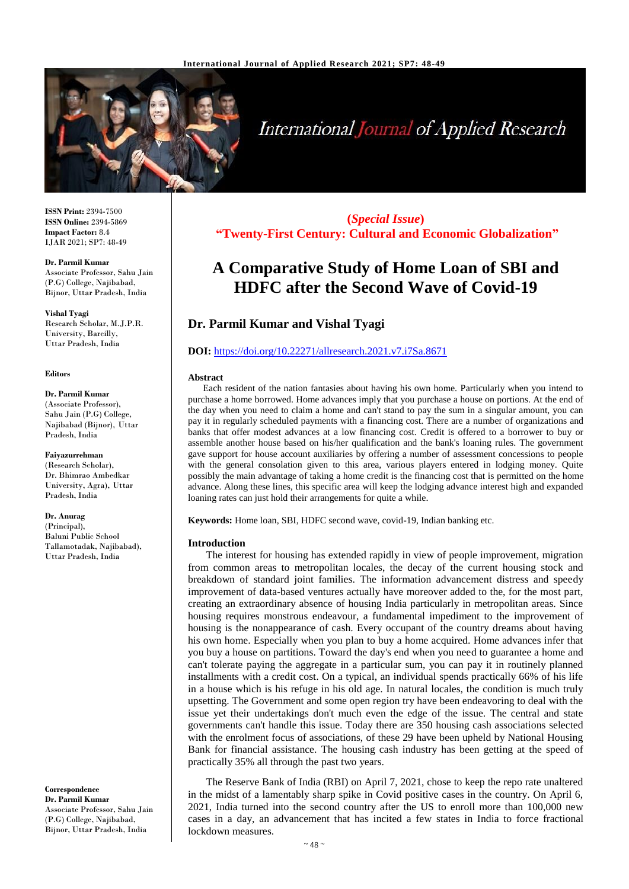

# International Journal of Applied Research

**ISSN Print:** 2394-7500 **ISSN Online:** 2394-5869 **Impact Factor:** 8.4 IJAR 2021; SP7: 48-49

#### **Dr. Parmil Kumar**

Associate Professor, Sahu Jain (P.G) College, Najibabad, Bijnor, Uttar Pradesh, India

**Vishal Tyagi** Research Scholar, M.J.P.R. University, Bareilly, Uttar Pradesh, India

#### **Editors**

#### **Dr. Parmil Kumar**

(Associate Professor), Sahu Jain (P.G) College, Najibabad (Bijnor), Uttar Pradesh, India

**Faiyazurrehman**  (Research Scholar), Dr. Bhimrao Ambedkar University, Agra), Uttar Pradesh, India

**Dr. Anurag** (Principal),

Baluni Public School Tallamotadak, Najibabad), Uttar Pradesh, India

**Correspondence Dr. Parmil Kumar** Associate Professor, Sahu Jain (P.G) College, Najibabad, Bijnor, Uttar Pradesh, India

**(***Special Issue***) "Twenty-First Century: Cultural and Economic Globalization"**

# **A Comparative Study of Home Loan of SBI and HDFC after the Second Wave of Covid-19**

# **Dr. Parmil Kumar and Vishal Tyagi**

# **DOI:** <https://doi.org/10.22271/allresearch.2021.v7.i7Sa.8671>

#### **Abstract**

Each resident of the nation fantasies about having his own home. Particularly when you intend to purchase a home borrowed. Home advances imply that you purchase a house on portions. At the end of the day when you need to claim a home and can't stand to pay the sum in a singular amount, you can pay it in regularly scheduled payments with a financing cost. There are a number of organizations and banks that offer modest advances at a low financing cost. Credit is offered to a borrower to buy or assemble another house based on his/her qualification and the bank's loaning rules. The government gave support for house account auxiliaries by offering a number of assessment concessions to people with the general consolation given to this area, various players entered in lodging money. Quite possibly the main advantage of taking a home credit is the financing cost that is permitted on the home advance. Along these lines, this specific area will keep the lodging advance interest high and expanded loaning rates can just hold their arrangements for quite a while.

**Keywords:** Home loan, SBI, HDFC second wave, covid-19, Indian banking etc.

#### **Introduction**

The interest for housing has extended rapidly in view of people improvement, migration from common areas to metropolitan locales, the decay of the current housing stock and breakdown of standard joint families. The information advancement distress and speedy improvement of data-based ventures actually have moreover added to the, for the most part, creating an extraordinary absence of housing India particularly in metropolitan areas. Since housing requires monstrous endeavour, a fundamental impediment to the improvement of housing is the nonappearance of cash. Every occupant of the country dreams about having his own home. Especially when you plan to buy a home acquired. Home advances infer that you buy a house on partitions. Toward the day's end when you need to guarantee a home and can't tolerate paying the aggregate in a particular sum, you can pay it in routinely planned installments with a credit cost. On a typical, an individual spends practically 66% of his life in a house which is his refuge in his old age. In natural locales, the condition is much truly upsetting. The Government and some open region try have been endeavoring to deal with the issue yet their undertakings don't much even the edge of the issue. The central and state governments can't handle this issue. Today there are 350 housing cash associations selected with the enrolment focus of associations, of these 29 have been upheld by National Housing Bank for financial assistance. The housing cash industry has been getting at the speed of practically 35% all through the past two years.

The Reserve Bank of India (RBI) on April 7, 2021, chose to keep the repo rate unaltered in the midst of a lamentably sharp spike in Covid positive cases in the country. On April 6, 2021, India turned into the second country after the US to enroll more than 100,000 new cases in a day, an advancement that has incited a few states in India to force fractional lockdown measures.